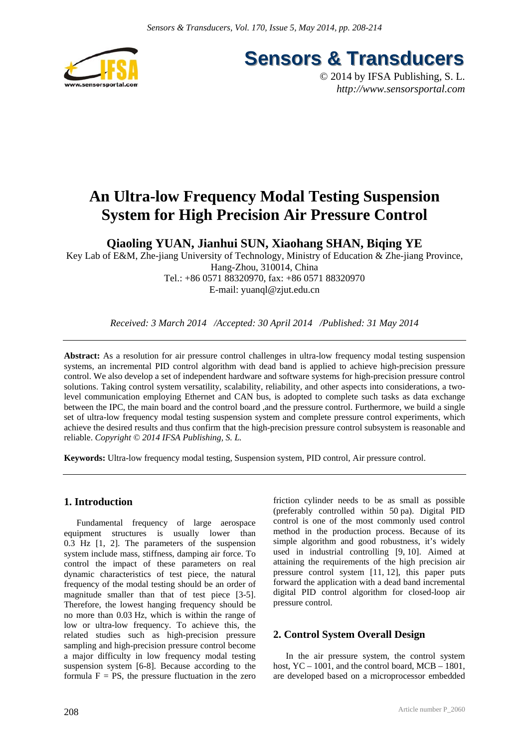

**Sensors & Transducers** 

© 2014 by IFSA Publishing, S. L. *http://www.sensorsportal.com*

# **An Ultra-low Frequency Modal Testing Suspension System for High Precision Air Pressure Control**

**Qiaoling YUAN, Jianhui SUN, Xiaohang SHAN, Biqing YE** 

Key Lab of E&M, Zhe-jiang University of Technology, Ministry of Education & Zhe-jiang Province, Hang-Zhou, 310014, China Tel.: +86 0571 88320970, fax: +86 0571 88320970 E-mail: yuanql@zjut.edu.cn

*Received: 3 March 2014 /Accepted: 30 April 2014 /Published: 31 May 2014* 

**Abstract:** As a resolution for air pressure control challenges in ultra-low frequency modal testing suspension systems, an incremental PID control algorithm with dead band is applied to achieve high-precision pressure control. We also develop a set of independent hardware and software systems for high-precision pressure control solutions. Taking control system versatility, scalability, reliability, and other aspects into considerations, a twolevel communication employing Ethernet and CAN bus, is adopted to complete such tasks as data exchange between the IPC, the main board and the control board ,and the pressure control. Furthermore, we build a single set of ultra-low frequency modal testing suspension system and complete pressure control experiments, which achieve the desired results and thus confirm that the high-precision pressure control subsystem is reasonable and reliable. *Copyright © 2014 IFSA Publishing, S. L.*

**Keywords:** Ultra-low frequency modal testing, Suspension system, PID control, Air pressure control.

## **1. Introduction**

Fundamental frequency of large aerospace equipment structures is usually lower than 0.3 Hz [1, 2]. The parameters of the suspension system include mass, stiffness, damping air force. To control the impact of these parameters on real dynamic characteristics of test piece, the natural frequency of the modal testing should be an order of magnitude smaller than that of test piece [3-5]. Therefore, the lowest hanging frequency should be no more than 0.03 Hz, which is within the range of low or ultra-low frequency. To achieve this, the related studies such as high-precision pressure sampling and high-precision pressure control become a major difficulty in low frequency modal testing suspension system [6-8]. Because according to the formula  $F = PS$ , the pressure fluctuation in the zero

208

friction cylinder needs to be as small as possible (preferably controlled within 50 pa). Digital PID control is one of the most commonly used control method in the production process. Because of its simple algorithm and good robustness, it's widely used in industrial controlling [9, 10]. Aimed at attaining the requirements of the high precision air pressure control system [11, 12], this paper puts forward the application with a dead band incremental digital PID control algorithm for closed-loop air pressure control.

## **2. Control System Overall Design**

In the air pressure system, the control system host,  $YC - 1001$ , and the control board,  $MCB - 1801$ , are developed based on a microprocessor embedded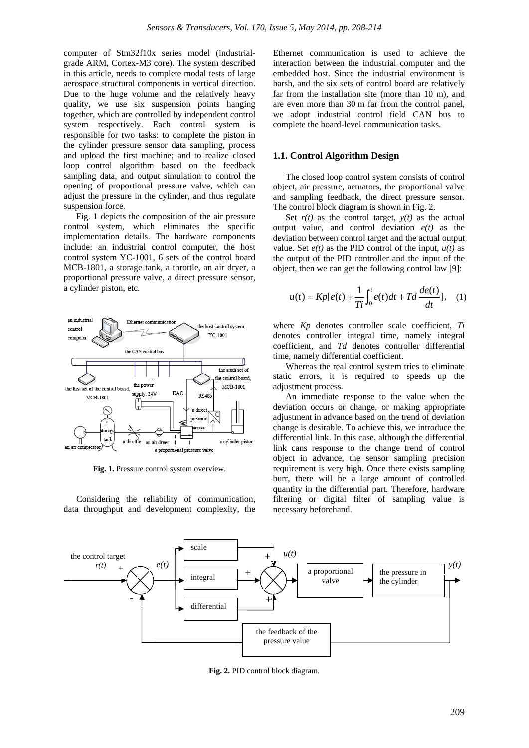computer of Stm32f10x series model (industrialgrade ARM, Cortex-M3 core). The system described in this article, needs to complete modal tests of large aerospace structural components in vertical direction. Due to the huge volume and the relatively heavy quality, we use six suspension points hanging together, which are controlled by independent control system respectively. Each control system is responsible for two tasks: to complete the piston in the cylinder pressure sensor data sampling, process and upload the first machine; and to realize closed loop control algorithm based on the feedback sampling data, and output simulation to control the opening of proportional pressure valve, which can adjust the pressure in the cylinder, and thus regulate suspension force.

Fig. 1 depicts the composition of the air pressure control system, which eliminates the specific implementation details. The hardware components include: an industrial control computer, the host control system YC-1001, 6 sets of the control board MCB-1801, a storage tank, a throttle, an air dryer, a proportional pressure valve, a direct pressure sensor, a cylinder piston, etc.



**Fig. 1.** Pressure control system overview.

Considering the reliability of communication, data throughput and development complexity, the

Ethernet communication is used to achieve the interaction between the industrial computer and the embedded host. Since the industrial environment is harsh, and the six sets of control board are relatively far from the installation site (more than 10 m), and are even more than 30 m far from the control panel, we adopt industrial control field CAN bus to complete the board-level communication tasks.

#### **1.1. Control Algorithm Design**

The closed loop control system consists of control object, air pressure, actuators, the proportional valve and sampling feedback, the direct pressure sensor. The control block diagram is shown in Fig. 2.

Set  $r(t)$  as the control target,  $y(t)$  as the actual output value, and control deviation  $e(t)$  as the deviation between control target and the actual output value. Set  $e(t)$  as the PID control of the input,  $u(t)$  as the output of the PID controller and the input of the object, then we can get the following control law [9]:

$$
u(t) = Kp[e(t) + \frac{1}{Ti}\int_0^t e(t)dt + Td\frac{de(t)}{dt}], \quad (1)
$$

where *Kp* denotes controller scale coefficient, *Ti* denotes controller integral time, namely integral coefficient, and *Td* denotes controller differential time, namely differential coefficient.

Whereas the real control system tries to eliminate static errors, it is required to speeds up the adjustment process.

An immediate response to the value when the deviation occurs or change, or making appropriate adjustment in advance based on the trend of deviation change is desirable. To achieve this, we introduce the differential link. In this case, although the differential link cans response to the change trend of control object in advance, the sensor sampling precision requirement is very high. Once there exists sampling burr, there will be a large amount of controlled quantity in the differential part. Therefore, hardware filtering or digital filter of sampling value is necessary beforehand.



**Fig. 2.** PID control block diagram.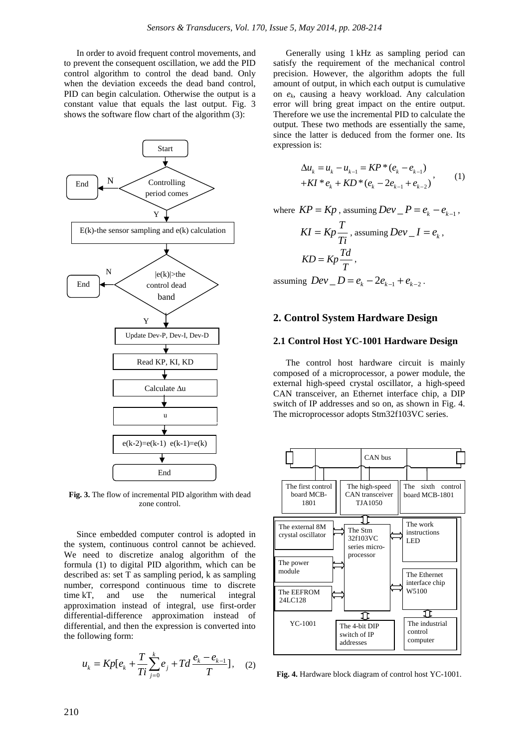In order to avoid frequent control movements, and to prevent the consequent oscillation, we add the PID control algorithm to control the dead band. Only when the deviation exceeds the dead band control, PID can begin calculation. Otherwise the output is a constant value that equals the last output. Fig. 3 shows the software flow chart of the algorithm (3):



**Fig. 3.** The flow of incremental PID algorithm with dead zone control.

Since embedded computer control is adopted in the system, continuous control cannot be achieved. We need to discretize analog algorithm of the formula (1) to digital PID algorithm, which can be described as: set T as sampling period, k as sampling number, correspond continuous time to discrete time kT, and use the numerical integral approximation instead of integral, use first-order differential-difference approximation instead of differential, and then the expression is converted into the following form:

$$
u_k = Kp[e_k + \frac{T}{Ti} \sum_{j=0}^{k} e_j + Td \frac{e_k - e_{k-1}}{T}], \quad (2)
$$

Generally using 1 kHz as sampling period can satisfy the requirement of the mechanical control precision. However, the algorithm adopts the full amount of output, in which each output is cumulative on *ek*, causing a heavy workload. Any calculation error will bring great impact on the entire output. Therefore we use the incremental PID to calculate the output. These two methods are essentially the same, since the latter is deduced from the former one. Its expression is:

$$
\Delta u_k = u_k - u_{k-1} = KP * (e_k - e_{k-1})
$$
  
+
$$
KI * e_k + KD * (e_k - 2e_{k-1} + e_{k-2})
$$
, (1)

where  $KP = Kp$ , assuming  $Dev P = e<sub>k</sub> - e<sub>k-1</sub>$ ,

$$
KI = Kp \frac{T}{Ti}, \text{ assuming } Dev\_I = e_k,
$$
  

$$
KD = Kp \frac{Td}{T},
$$

assuming  $Dev \_ D = e_{k} - 2e_{k-1} + e_{k-2}$ .

#### **2. Control System Hardware Design**

#### **2.1 Control Host YC-1001 Hardware Design**

The control host hardware circuit is mainly composed of a microprocessor, a power module, the external high-speed crystal oscillator, a high-speed CAN transceiver, an Ethernet interface chip, a DIP switch of IP addresses and so on, as shown in Fig. 4. The microprocessor adopts Stm32f103VC series.



**Fig. 4.** Hardware block diagram of control host YC-1001.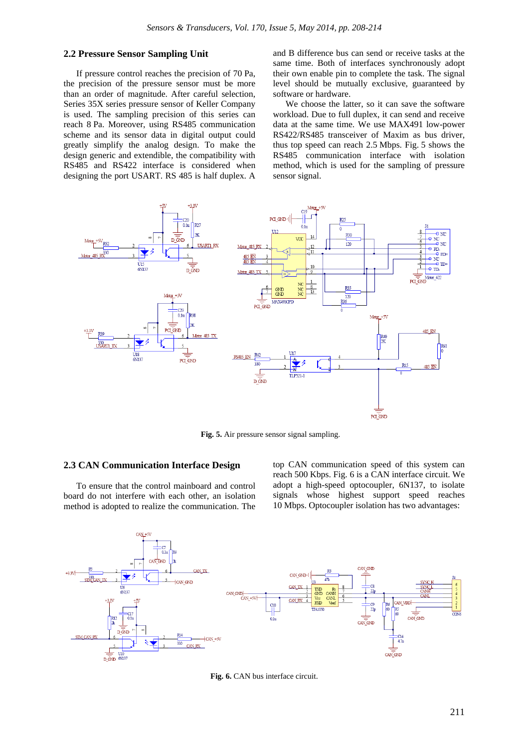#### **2.2 Pressure Sensor Sampling Unit**

If pressure control reaches the precision of 70 Pa, the precision of the pressure sensor must be more than an order of magnitude. After careful selection, Series 35X series pressure sensor of Keller Company is used. The sampling precision of this series can reach 8 Pa. Moreover, using RS485 communication scheme and its sensor data in digital output could greatly simplify the analog design. To make the design generic and extendible, the compatibility with RS485 and RS422 interface is considered when designing the port USART. RS 485 is half duplex. A and B difference bus can send or receive tasks at the same time. Both of interfaces synchronously adopt their own enable pin to complete the task. The signal level should be mutually exclusive, guaranteed by software or hardware.

We choose the latter, so it can save the software workload. Due to full duplex, it can send and receive data at the same time. We use MAX491 low-power RS422/RS485 transceiver of Maxim as bus driver, thus top speed can reach 2.5 Mbps. Fig. 5 shows the RS485 communication interface with isolation method, which is used for the sampling of pressure sensor signal.



**Fig. 5.** Air pressure sensor signal sampling.

#### **2.3 CAN Communication Interface Design**

To ensure that the control mainboard and control board do not interfere with each other, an isolation method is adopted to realize the communication. The top CAN communication speed of this system can reach 500 Kbps. Fig. 6 is a CAN interface circuit. We adopt a high-speed optocoupler, 6N137, to isolate signals whose highest support speed reaches 10 Mbps. Optocoupler isolation has two advantages:



Fig. 6. CAN bus interface circuit.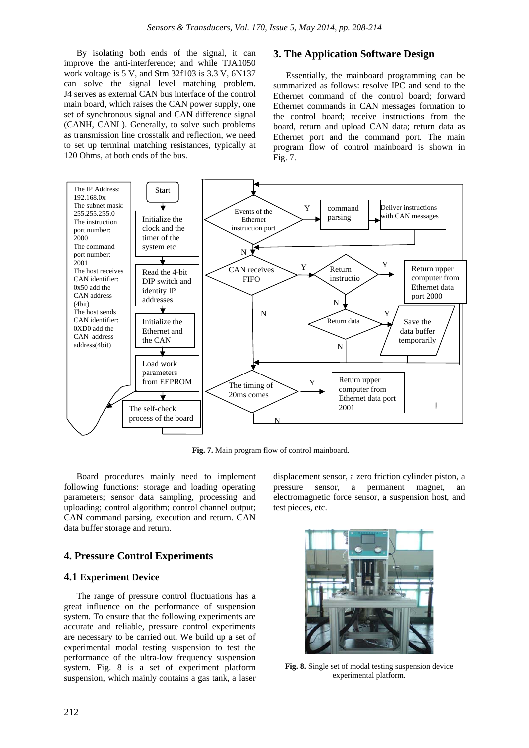By isolating both ends of the signal, it can improve the anti-interference; and while TJA1050 work voltage is 5 V, and Stm 32f103 is 3.3 V, 6N137 can solve the signal level matching problem. J4 serves as external CAN bus interface of the control main board, which raises the CAN power supply, one set of synchronous signal and CAN difference signal (CANH, CANL). Generally, to solve such problems as transmission line crosstalk and reflection, we need to set up terminal matching resistances, typically at 120 Ohms, at both ends of the bus.

#### **3. The Application Software Design**

Essentially, the mainboard programming can be summarized as follows: resolve IPC and send to the Ethernet command of the control board; forward Ethernet commands in CAN messages formation to the control board; receive instructions from the board, return and upload CAN data; return data as Ethernet port and the command port. The main program flow of control mainboard is shown in Fig. 7.



**Fig. 7.** Main program flow of control mainboard.

Board procedures mainly need to implement following functions: storage and loading operating parameters; sensor data sampling, processing and uploading; control algorithm; control channel output; CAN command parsing, execution and return. CAN data buffer storage and return.

#### **4. Pressure Control Experiments**

#### **4.1 Experiment Device**

The range of pressure control fluctuations has a great influence on the performance of suspension system. To ensure that the following experiments are accurate and reliable, pressure control experiments are necessary to be carried out. We build up a set of experimental modal testing suspension to test the performance of the ultra-low frequency suspension system. Fig. 8 is a set of experiment platform suspension, which mainly contains a gas tank, a laser

displacement sensor, a zero friction cylinder piston, a pressure sensor, a permanent magnet, an electromagnetic force sensor, a suspension host, and test pieces, etc.



**Fig. 8.** Single set of modal testing suspension device experimental platform.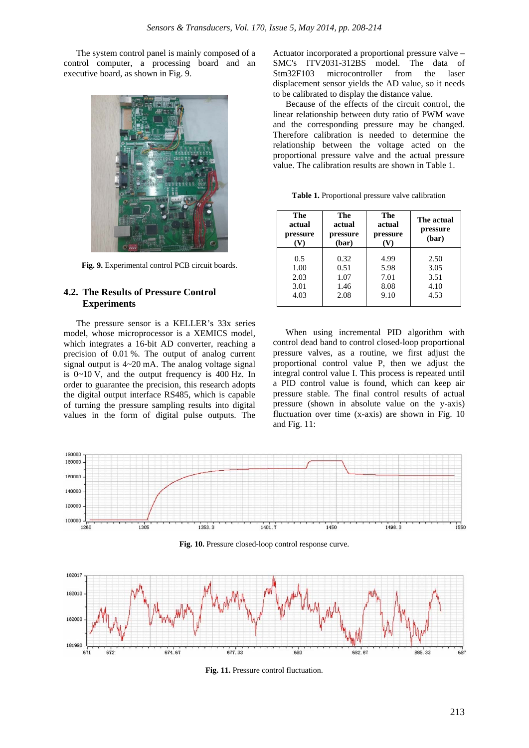The system control panel is mainly composed of a control computer, a processing board and an executive board, as shown in Fig. 9.



**Fig. 9.** Experimental control PCB circuit boards.

## **4.2. The Results of Pressure Control Experiments**

The pressure sensor is a KELLER's 33x series model, whose microprocessor is a XEMICS model, which integrates a 16-bit AD converter, reaching a precision of 0.01 %. The output of analog current signal output is 4~20 mA. The analog voltage signal is 0~10 V, and the output frequency is 400 Hz. In order to guarantee the precision, this research adopts the digital output interface RS485, which is capable of turning the pressure sampling results into digital values in the form of digital pulse outputs. The

Actuator incorporated a proportional pressure valve – SMC's ITV2031-312BS model. The data of Stm32F103 microcontroller from the laser displacement sensor yields the AD value, so it needs to be calibrated to display the distance value.

Because of the effects of the circuit control, the linear relationship between duty ratio of PWM wave and the corresponding pressure may be changed. Therefore calibration is needed to determine the relationship between the voltage acted on the proportional pressure valve and the actual pressure value. The calibration results are shown in Table 1.

| <b>Table 1.</b> Proportional pressure valve calibration |  |  |  |  |
|---------------------------------------------------------|--|--|--|--|
|---------------------------------------------------------|--|--|--|--|

| The<br>actual<br>pressure | The<br>actual<br>pressure<br>(bar) | The<br>actual<br>pressure<br>V) | The actual<br>pressure<br>(bar) |
|---------------------------|------------------------------------|---------------------------------|---------------------------------|
| 0.5                       | 0.32                               | 4.99                            | 2.50                            |
| 1.00                      | 0.51                               | 5.98                            | 3.05                            |
| 2.03                      | 1.07                               | 7.01                            | 3.51                            |
| 3.01                      | 1.46                               | 8.08                            | 4.10                            |
| 4.03                      | 2.08                               | 9.10                            | 4.53                            |
|                           |                                    |                                 |                                 |

When using incremental PID algorithm with control dead band to control closed-loop proportional pressure valves, as a routine, we first adjust the proportional control value P, then we adjust the integral control value I. This process is repeated until a PID control value is found, which can keep air pressure stable. The final control results of actual pressure (shown in absolute value on the y-axis) fluctuation over time (x-axis) are shown in Fig. 10 and Fig. 11:



Fig. 10. Pressure closed-loop control response curve.



Fig. 11. Pressure control fluctuation.